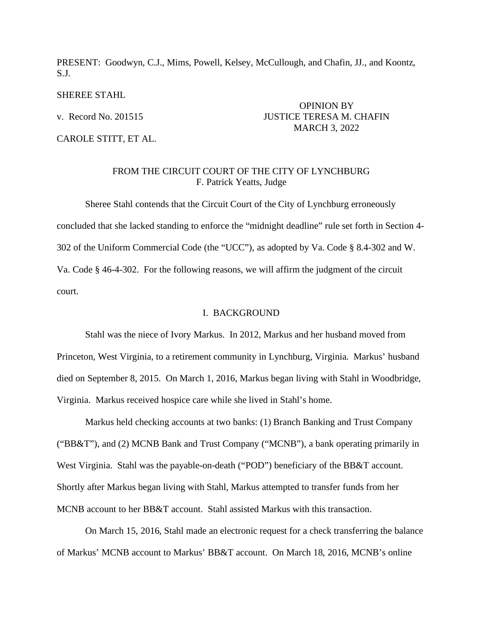PRESENT: Goodwyn, C.J., Mims, Powell, Kelsey, McCullough, and Chafin, JJ., and Koontz, S.J.

#### SHEREE STAHL

CAROLE STITT, ET AL.

# OPINION BY v. Record No. 201515 JUSTICE TERESA M. CHAFIN MARCH 3, 2022

## FROM THE CIRCUIT COURT OF THE CITY OF LYNCHBURG F. Patrick Yeatts, Judge

Sheree Stahl contends that the Circuit Court of the City of Lynchburg erroneously concluded that she lacked standing to enforce the "midnight deadline" rule set forth in Section 4- 302 of the Uniform Commercial Code (the "UCC"), as adopted by Va. Code § 8.4-302 and W. Va. Code § 46-4-302. For the following reasons, we will affirm the judgment of the circuit court.

#### I. BACKGROUND

Stahl was the niece of Ivory Markus. In 2012, Markus and her husband moved from Princeton, West Virginia, to a retirement community in Lynchburg, Virginia. Markus' husband died on September 8, 2015. On March 1, 2016, Markus began living with Stahl in Woodbridge, Virginia. Markus received hospice care while she lived in Stahl's home.

Markus held checking accounts at two banks: (1) Branch Banking and Trust Company ("BB&T"), and (2) MCNB Bank and Trust Company ("MCNB"), a bank operating primarily in West Virginia. Stahl was the payable-on-death ("POD") beneficiary of the BB&T account. Shortly after Markus began living with Stahl, Markus attempted to transfer funds from her MCNB account to her BB&T account. Stahl assisted Markus with this transaction.

On March 15, 2016, Stahl made an electronic request for a check transferring the balance of Markus' MCNB account to Markus' BB&T account. On March 18, 2016, MCNB's online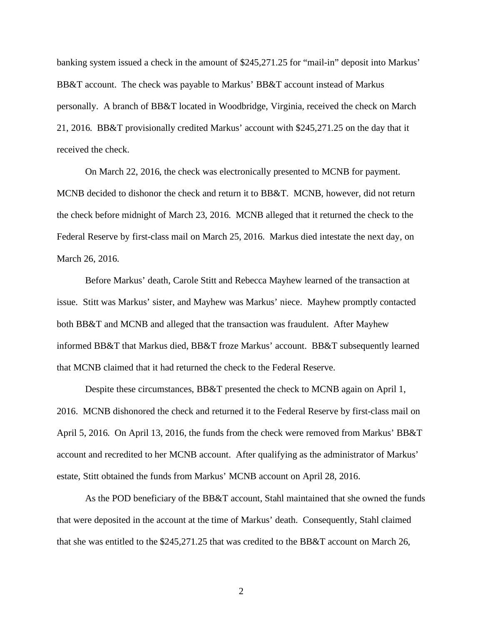banking system issued a check in the amount of \$245,271.25 for "mail-in" deposit into Markus' BB&T account. The check was payable to Markus' BB&T account instead of Markus personally. A branch of BB&T located in Woodbridge, Virginia, received the check on March 21, 2016. BB&T provisionally credited Markus' account with \$245,271.25 on the day that it received the check.

On March 22, 2016, the check was electronically presented to MCNB for payment. MCNB decided to dishonor the check and return it to BB&T. MCNB, however, did not return the check before midnight of March 23, 2016. MCNB alleged that it returned the check to the Federal Reserve by first-class mail on March 25, 2016. Markus died intestate the next day, on March 26, 2016.

Before Markus' death, Carole Stitt and Rebecca Mayhew learned of the transaction at issue. Stitt was Markus' sister, and Mayhew was Markus' niece. Mayhew promptly contacted both BB&T and MCNB and alleged that the transaction was fraudulent. After Mayhew informed BB&T that Markus died, BB&T froze Markus' account. BB&T subsequently learned that MCNB claimed that it had returned the check to the Federal Reserve.

Despite these circumstances, BB&T presented the check to MCNB again on April 1, 2016. MCNB dishonored the check and returned it to the Federal Reserve by first-class mail on April 5, 2016. On April 13, 2016, the funds from the check were removed from Markus' BB&T account and recredited to her MCNB account. After qualifying as the administrator of Markus' estate, Stitt obtained the funds from Markus' MCNB account on April 28, 2016.

As the POD beneficiary of the BB&T account, Stahl maintained that she owned the funds that were deposited in the account at the time of Markus' death. Consequently, Stahl claimed that she was entitled to the \$245,271.25 that was credited to the BB&T account on March 26,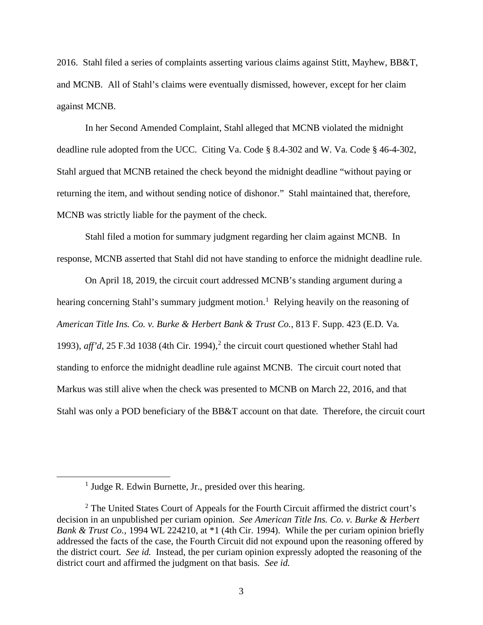2016. Stahl filed a series of complaints asserting various claims against Stitt, Mayhew, BB&T, and MCNB. All of Stahl's claims were eventually dismissed, however, except for her claim against MCNB.

In her Second Amended Complaint, Stahl alleged that MCNB violated the midnight deadline rule adopted from the UCC. Citing Va. Code § 8.4-302 and W. Va. Code § 46-4-302, Stahl argued that MCNB retained the check beyond the midnight deadline "without paying or returning the item, and without sending notice of dishonor." Stahl maintained that, therefore, MCNB was strictly liable for the payment of the check.

Stahl filed a motion for summary judgment regarding her claim against MCNB. In response, MCNB asserted that Stahl did not have standing to enforce the midnight deadline rule.

On April 18, 2019, the circuit court addressed MCNB's standing argument during a hearing concerning Stahl's summary judgment motion.<sup>[1](#page-2-0)</sup> Relying heavily on the reasoning of *American Title Ins. Co. v. Burke & Herbert Bank & Trust Co.*, 813 F. Supp. 423 (E.D. Va. 1993), *aff'd*, [2](#page-2-1)5 F.3d 1038 (4th Cir. 1994),<sup>2</sup> the circuit court questioned whether Stahl had standing to enforce the midnight deadline rule against MCNB. The circuit court noted that Markus was still alive when the check was presented to MCNB on March 22, 2016, and that Stahl was only a POD beneficiary of the BB&T account on that date. Therefore, the circuit court

<sup>&</sup>lt;sup>1</sup> Judge R. Edwin Burnette, Jr., presided over this hearing.

<span id="page-2-1"></span><span id="page-2-0"></span> $2$  The United States Court of Appeals for the Fourth Circuit affirmed the district court's decision in an unpublished per curiam opinion. *See American Title Ins. Co. v. Burke & Herbert Bank & Trust Co.*, 1994 WL 224210, at \*1 (4th Cir. 1994). While the per curiam opinion briefly addressed the facts of the case, the Fourth Circuit did not expound upon the reasoning offered by the district court. *See id.* Instead, the per curiam opinion expressly adopted the reasoning of the district court and affirmed the judgment on that basis. *See id.*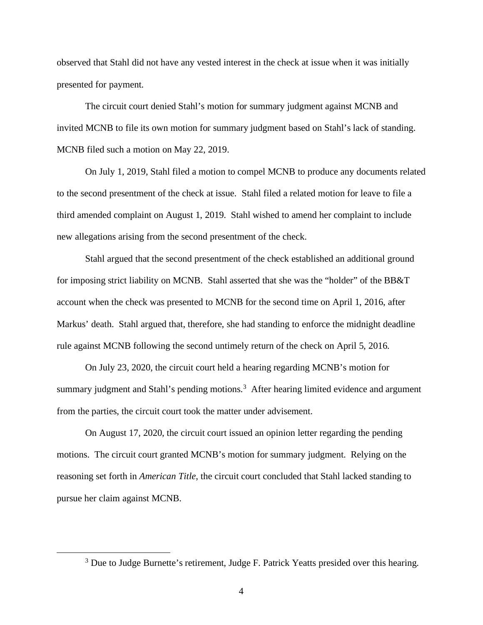observed that Stahl did not have any vested interest in the check at issue when it was initially presented for payment.

The circuit court denied Stahl's motion for summary judgment against MCNB and invited MCNB to file its own motion for summary judgment based on Stahl's lack of standing. MCNB filed such a motion on May 22, 2019.

On July 1, 2019, Stahl filed a motion to compel MCNB to produce any documents related to the second presentment of the check at issue. Stahl filed a related motion for leave to file a third amended complaint on August 1, 2019. Stahl wished to amend her complaint to include new allegations arising from the second presentment of the check.

Stahl argued that the second presentment of the check established an additional ground for imposing strict liability on MCNB. Stahl asserted that she was the "holder" of the BB&T account when the check was presented to MCNB for the second time on April 1, 2016, after Markus' death. Stahl argued that, therefore, she had standing to enforce the midnight deadline rule against MCNB following the second untimely return of the check on April 5, 2016.

On July 23, 2020, the circuit court held a hearing regarding MCNB's motion for summary judgment and Stahl's pending motions.<sup>[3](#page-3-0)</sup> After hearing limited evidence and argument from the parties, the circuit court took the matter under advisement.

On August 17, 2020, the circuit court issued an opinion letter regarding the pending motions. The circuit court granted MCNB's motion for summary judgment. Relying on the reasoning set forth in *American Title*, the circuit court concluded that Stahl lacked standing to pursue her claim against MCNB.

<span id="page-3-0"></span><sup>&</sup>lt;sup>3</sup> Due to Judge Burnette's retirement, Judge F. Patrick Yeatts presided over this hearing.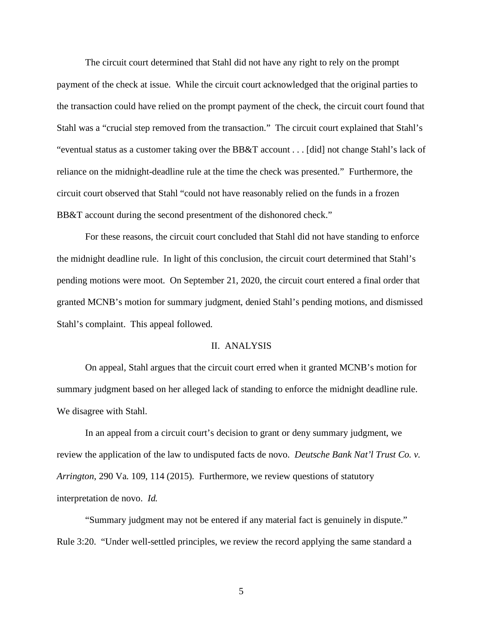The circuit court determined that Stahl did not have any right to rely on the prompt payment of the check at issue. While the circuit court acknowledged that the original parties to the transaction could have relied on the prompt payment of the check, the circuit court found that Stahl was a "crucial step removed from the transaction." The circuit court explained that Stahl's "eventual status as a customer taking over the BB&T account . . . [did] not change Stahl's lack of reliance on the midnight-deadline rule at the time the check was presented." Furthermore, the circuit court observed that Stahl "could not have reasonably relied on the funds in a frozen BB&T account during the second presentment of the dishonored check."

For these reasons, the circuit court concluded that Stahl did not have standing to enforce the midnight deadline rule. In light of this conclusion, the circuit court determined that Stahl's pending motions were moot. On September 21, 2020, the circuit court entered a final order that granted MCNB's motion for summary judgment, denied Stahl's pending motions, and dismissed Stahl's complaint. This appeal followed.

### II. ANALYSIS

On appeal, Stahl argues that the circuit court erred when it granted MCNB's motion for summary judgment based on her alleged lack of standing to enforce the midnight deadline rule. We disagree with Stahl.

In an appeal from a circuit court's decision to grant or deny summary judgment, we review the application of the law to undisputed facts de novo. *Deutsche Bank Nat'l Trust Co. v. Arrington*, 290 Va. 109, 114 (2015). Furthermore, we review questions of statutory interpretation de novo. *Id.*

"Summary judgment may not be entered if any material fact is genuinely in dispute." Rule 3:20. "Under well-settled principles, we review the record applying the same standard a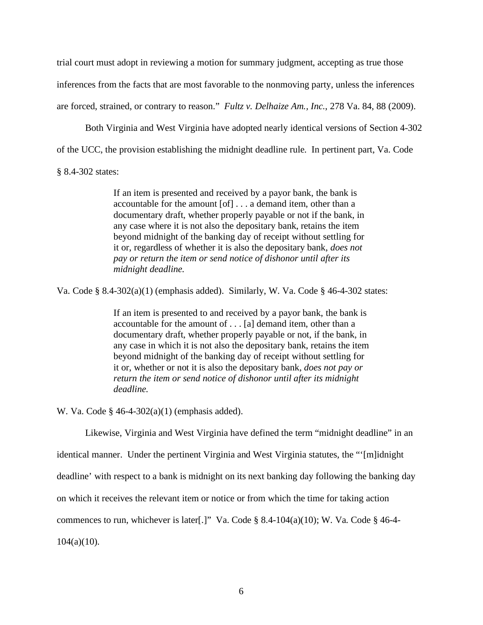trial court must adopt in reviewing a motion for summary judgment, accepting as true those inferences from the facts that are most favorable to the nonmoving party, unless the inferences are forced, strained, or contrary to reason." *Fultz v. Delhaize Am., Inc.*, 278 Va. 84, 88 (2009).

Both Virginia and West Virginia have adopted nearly identical versions of Section 4-302

of the UCC, the provision establishing the midnight deadline rule. In pertinent part, Va. Code

§ 8.4-302 states:

If an item is presented and received by a payor bank, the bank is accountable for the amount [of] . . . a demand item, other than a documentary draft, whether properly payable or not if the bank, in any case where it is not also the depositary bank, retains the item beyond midnight of the banking day of receipt without settling for it or, regardless of whether it is also the depositary bank, *does not pay or return the item or send notice of dishonor until after its midnight deadline.*

Va. Code § 8.4-302(a)(1) (emphasis added). Similarly, W. Va. Code § 46-4-302 states:

If an item is presented to and received by a payor bank, the bank is accountable for the amount of . . . [a] demand item, other than a documentary draft, whether properly payable or not, if the bank, in any case in which it is not also the depositary bank, retains the item beyond midnight of the banking day of receipt without settling for it or, whether or not it is also the depositary bank, *does not pay or return the item or send notice of dishonor until after its midnight deadline.*

W. Va. Code § 46-4-302(a)(1) (emphasis added).

Likewise, Virginia and West Virginia have defined the term "midnight deadline" in an identical manner. Under the pertinent Virginia and West Virginia statutes, the "'[m]idnight deadline' with respect to a bank is midnight on its next banking day following the banking day on which it receives the relevant item or notice or from which the time for taking action commences to run, whichever is later[.]" Va. Code § 8.4-104(a)(10); W. Va. Code § 46-4- $104(a)(10)$ .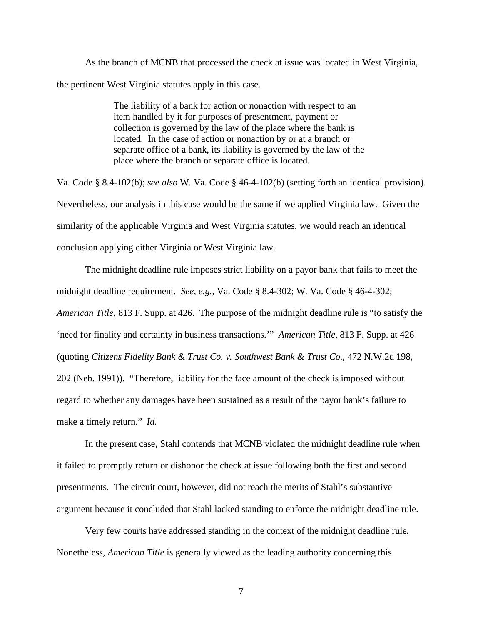As the branch of MCNB that processed the check at issue was located in West Virginia, the pertinent West Virginia statutes apply in this case.

> The liability of a bank for action or nonaction with respect to an item handled by it for purposes of presentment, payment or collection is governed by the law of the place where the bank is located. In the case of action or nonaction by or at a branch or separate office of a bank, its liability is governed by the law of the place where the branch or separate office is located.

Va. Code § 8.4-102(b); *see also* W. Va. Code § 46-4-102(b) (setting forth an identical provision). Nevertheless, our analysis in this case would be the same if we applied Virginia law. Given the similarity of the applicable Virginia and West Virginia statutes, we would reach an identical conclusion applying either Virginia or West Virginia law.

The midnight deadline rule imposes strict liability on a payor bank that fails to meet the midnight deadline requirement. *See, e.g.*, Va. Code § 8.4-302; W. Va. Code § 46-4-302; *American Title*, 813 F. Supp. at 426. The purpose of the midnight deadline rule is "to satisfy the 'need for finality and certainty in business transactions.'" *American Title*, 813 F. Supp. at 426 (quoting *Citizens Fidelity Bank & Trust Co. v. Southwest Bank & Trust Co.*, 472 N.W.2d 198, 202 (Neb. 1991)). "Therefore, liability for the face amount of the check is imposed without regard to whether any damages have been sustained as a result of the payor bank's failure to make a timely return." *Id.*

In the present case, Stahl contends that MCNB violated the midnight deadline rule when it failed to promptly return or dishonor the check at issue following both the first and second presentments. The circuit court, however, did not reach the merits of Stahl's substantive argument because it concluded that Stahl lacked standing to enforce the midnight deadline rule.

Very few courts have addressed standing in the context of the midnight deadline rule. Nonetheless, *American Title* is generally viewed as the leading authority concerning this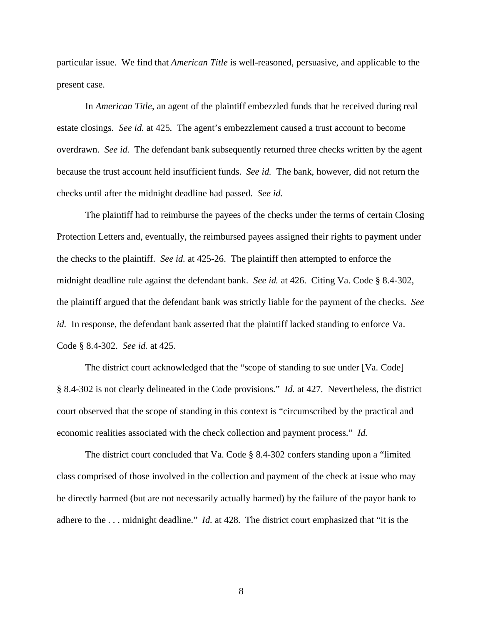particular issue. We find that *American Title* is well-reasoned, persuasive, and applicable to the present case.

In *American Title*, an agent of the plaintiff embezzled funds that he received during real estate closings. *See id.* at 425. The agent's embezzlement caused a trust account to become overdrawn. *See id.* The defendant bank subsequently returned three checks written by the agent because the trust account held insufficient funds. *See id.* The bank, however, did not return the checks until after the midnight deadline had passed. *See id.*

The plaintiff had to reimburse the payees of the checks under the terms of certain Closing Protection Letters and, eventually, the reimbursed payees assigned their rights to payment under the checks to the plaintiff. *See id.* at 425-26. The plaintiff then attempted to enforce the midnight deadline rule against the defendant bank. *See id.* at 426. Citing Va. Code § 8.4-302, the plaintiff argued that the defendant bank was strictly liable for the payment of the checks. *See id.* In response, the defendant bank asserted that the plaintiff lacked standing to enforce Va. Code § 8.4-302. *See id.* at 425.

The district court acknowledged that the "scope of standing to sue under [Va. Code] § 8.4-302 is not clearly delineated in the Code provisions." *Id.* at 427. Nevertheless, the district court observed that the scope of standing in this context is "circumscribed by the practical and economic realities associated with the check collection and payment process." *Id.*

The district court concluded that Va. Code § 8.4-302 confers standing upon a "limited class comprised of those involved in the collection and payment of the check at issue who may be directly harmed (but are not necessarily actually harmed) by the failure of the payor bank to adhere to the . . . midnight deadline." *Id.* at 428. The district court emphasized that "it is the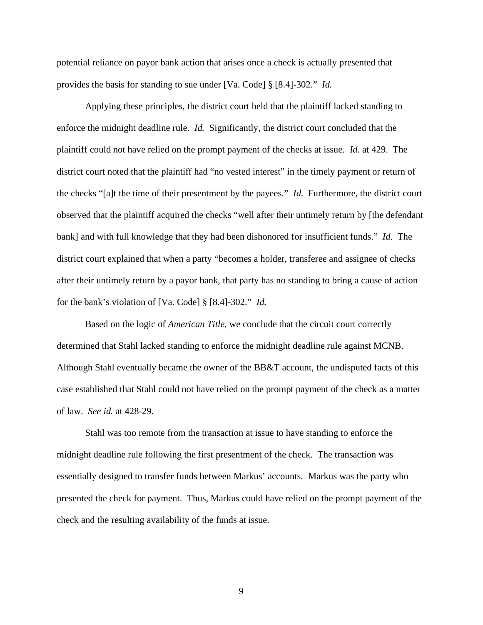potential reliance on payor bank action that arises once a check is actually presented that provides the basis for standing to sue under [Va. Code] § [8.4]-302." *Id.*

Applying these principles, the district court held that the plaintiff lacked standing to enforce the midnight deadline rule. *Id.* Significantly, the district court concluded that the plaintiff could not have relied on the prompt payment of the checks at issue. *Id.* at 429. The district court noted that the plaintiff had "no vested interest" in the timely payment or return of the checks "[a]t the time of their presentment by the payees." *Id.* Furthermore, the district court observed that the plaintiff acquired the checks "well after their untimely return by [the defendant bank] and with full knowledge that they had been dishonored for insufficient funds." *Id.* The district court explained that when a party "becomes a holder, transferee and assignee of checks after their untimely return by a payor bank, that party has no standing to bring a cause of action for the bank's violation of [Va. Code] § [8.4]-302." *Id.*

Based on the logic of *American Title*, we conclude that the circuit court correctly determined that Stahl lacked standing to enforce the midnight deadline rule against MCNB. Although Stahl eventually became the owner of the BB&T account, the undisputed facts of this case established that Stahl could not have relied on the prompt payment of the check as a matter of law. *See id.* at 428-29.

Stahl was too remote from the transaction at issue to have standing to enforce the midnight deadline rule following the first presentment of the check. The transaction was essentially designed to transfer funds between Markus' accounts. Markus was the party who presented the check for payment. Thus, Markus could have relied on the prompt payment of the check and the resulting availability of the funds at issue.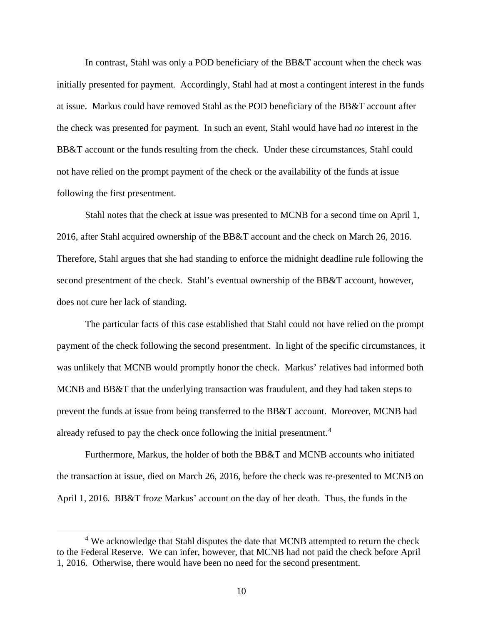In contrast, Stahl was only a POD beneficiary of the BB&T account when the check was initially presented for payment. Accordingly, Stahl had at most a contingent interest in the funds at issue. Markus could have removed Stahl as the POD beneficiary of the BB&T account after the check was presented for payment. In such an event, Stahl would have had *no* interest in the BB&T account or the funds resulting from the check. Under these circumstances, Stahl could not have relied on the prompt payment of the check or the availability of the funds at issue following the first presentment.

Stahl notes that the check at issue was presented to MCNB for a second time on April 1, 2016, after Stahl acquired ownership of the BB&T account and the check on March 26, 2016. Therefore, Stahl argues that she had standing to enforce the midnight deadline rule following the second presentment of the check. Stahl's eventual ownership of the BB&T account, however, does not cure her lack of standing.

The particular facts of this case established that Stahl could not have relied on the prompt payment of the check following the second presentment. In light of the specific circumstances, it was unlikely that MCNB would promptly honor the check. Markus' relatives had informed both MCNB and BB&T that the underlying transaction was fraudulent, and they had taken steps to prevent the funds at issue from being transferred to the BB&T account. Moreover, MCNB had already refused to pay the check once following the initial presentment.<sup>[4](#page-9-0)</sup>

Furthermore, Markus, the holder of both the BB&T and MCNB accounts who initiated the transaction at issue, died on March 26, 2016, before the check was re-presented to MCNB on April 1, 2016. BB&T froze Markus' account on the day of her death. Thus, the funds in the

<span id="page-9-0"></span><sup>&</sup>lt;sup>4</sup> We acknowledge that Stahl disputes the date that MCNB attempted to return the check to the Federal Reserve. We can infer, however, that MCNB had not paid the check before April 1, 2016. Otherwise, there would have been no need for the second presentment.